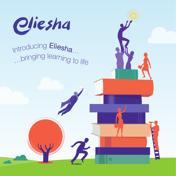

## Introducing Eliesha... in the stringing learning to life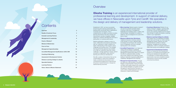### **Contents**

| <b>Overview</b>                                            | 3              |
|------------------------------------------------------------|----------------|
| <b>Quality &amp; Customer Focus</b>                        | $\overline{4}$ |
| <b>Example Learning Partners</b>                           | 5              |
| <b>Management &amp; Leadership</b>                         | 6              |
| Pearls of Wisdom®                                          | $\overline{7}$ |
| <b>Bitesize &amp; Masterclass</b>                          | 8              |
| Face-to-Face                                               | 9              |
| <b>Management Apprenticeships</b>                          | 10             |
| <b>Accredited Management Qualifications: ILM &amp; CMI</b> | 12             |
| <b>Coaching &amp; Mentoring</b>                            | 13             |
| <b>Assessment &amp; Development Centres</b>                | 14             |
| Distance Learning College & e.eliesha                      | 15             |
| <b>Specialist Solutions</b>                                | 16             |
| <b>Learning Partners</b>                                   | 17             |
| <b>Vision, Values &amp; Mission Statement</b>              | 18             |

### **Overview**

Established in 2001, we have successfully formed long-term learning partnerships with leading public and private sector organisations of all sizes and in all sectors. This is underpinned by our ability to provide innovative learning interventions that drive change and improvement, provoke a targeted, tangible response in workforce development and have a lasting effect on business performance.

**• Micro-learning:** Eliesha's pearls of wisdom® are short but powerful animated videos, covering a wide array of management, leadership and workplace topics, models, tools and techniques. Accessible on a variety of platforms, they are designed to be used at the point of need.

Eliesha's philosophy is always to work in a close, collaborative and proactive partnership with our customers in order to obtain an indepth understanding of their specific culture, challenges and business aims. This strategic learning partnership approach has enabled us to help our customers meet their unique challenges, manage significant change, perform and grow an organisation-wide culture of learning and continuous development.

We offer a variety of interventions that can be contextualised to culture and competency needs, combined and structured to form comprehensive programmes of learning that bring about required behaviour change and desired learning outcomes:

**• Bitesize & Masterclass Workshops:** Traditional interactive workshop sessions of 90 minutes or 3 hours, delivering skills, knowledge and techniques with a practical focus on application and how to transfer learning back to the workplace.

**• Accredited Programmes:** As an Approved Centre with the Institute of Leadership and Management (ILM) and the Chartered Management Institute (ILM), Eliesha can support the drive for professional skills, providing face-to-face, distance and e-learning courses leading to nationally recognised qualifications in Leadership, Management and Coaching.

**• Management Apprenticeships:** Through our status as a main provider on the ESFA's Register of Apprenticeship Training Providers, we deliver high quality programmes towards the new employer-designed, occupation-focused Management Apprenticeship Standards at Level 3 (Team Leader/Supervisor) and Level 5 (Operations/ Departmental Manager).

- 
- **Coaching & Mentoring:** Whether it's our pearls of wisdom ® category, coaching skills workshops, ILM and CMI qualifications or one-to-one coaching, Eliesha has the solution that will help to create and embed a coaching culture in your organisation.
- **Distance Learning College & e.eliesha:** With support from our dedicated Accredited Centre team and through our online Learning Management System, learners can study towards Eliesha's portfolio of national leadership, management and coaching qualifications, which is constantly reviewed to reflect best practice and qualification updates.
- **Assessment & Development Centres:**

Within our Assessment and Development Centres our occupational psychologists and learning and development specialists use a combination of market leading exercises, psychometric tools and competence-based interviewing to ensure the best possible outcomes are achieved.

**Eliesha Training** is an experienced international provider of professional learning and development. In support of national delivery, we have offices in Newcastle upon Tyne and Cardiff. We specialise in the design and delivery of management and leadership solutions.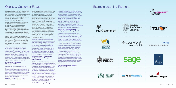

















### Quality & Customer Focus

Eliesha has a quality culture, incorporating a quality ethos and customer focus in every aspect of our business. In practice, this means robust procedures and systems are in place from the top down, together with a commitment to approaching all of our work with a customer-first mindset.

We are proud to hold ISO 9001 Quality Management Systems certification, an externally audited assurance and endorsement of our commitment to policy, process and systems resulting in high quality learning products and services. In addition, we hold ISO 14001 Environmental Management Systems certification, reflecting a thorough and transparent approach to our environmental footprint and Cyber Essentials, assuring our information systems and data security.

Working with our professional industry partners ILM and CMI, we have achieved Approved Centre status with both organisations, supported by our qualified and dedicated Accredited Centre team. We work with them to ensure good and best practice in our learning and development solutions:

"Eliesha Training has been one of our most innovative and proactive approved centres, working in close partnership with our business development and policy research teams to deliver excellent accreditation and qualification solutions in order to meet emerging client needs. As a deliverer, Eliesha achieves exceptionally high completion rates and is recognised by ILM and its clients as an organisation that lives up to its values, especially that of delighting the customer."

#### **CEO, Institute of Leadership & Management (ILM)**

Eliesha is one of our market leading training partners that provide outstanding support in management and leadership development for the public sector. CMI is delighted with the quality of development, delivery and assessment of Eliesha's public sector programme regularly highlighted by learners and clients alike at their celebrating success 'graduation events.'

**CEO, Chartered Management Institute**

Eliesha considers the achievement of customers' required learning outcomes as paramount and strives to exceed customers' expectations. Our learning partner approach ensures that development needs are met through accurate and detailed identification of customers' requirements. Effective solutions are designed and delivered, informed by professional dialogue, knowledge and experience. Continuous and comprehensive measurement and evaluation informs further delivery and assures learning is on the required trajectory for success. This is supported by a collaborative process of close communication and consultation with customers. Targets for the achievement of key performance indicators are identified and progress is monitored through regular evaluation feedback, reporting and customer meetings to ensure we provide value for money and a "right first time" service:

"The Eliesha management team and training consultants have been very supportive and flexible to our needs. Together we have found solutions that worked for Newham and our employees in a partnership manner. Eliesha has very high standards and the majority of courses delivered by them received at least 85% excellent ratings, often higher. One of the easiest contracts I have managed. The contract manager has been a particular beacon of excellence and partnership working. A highly recommended company."

#### **Head of Leadership & Organisational Development, London Borough of Newham Council**

"Eliesha is an extremely professional company and their work has been of a very high standard, the quality of the delivery from the trainers is excellent and feedback from our delegates supports this. The number of people completing the training and gaining a qualification is very high due to the robustness of the programme and the support that is given to everyone by the trainer. Eliesha has played an invaluable part in making our University Coaching Academy the success in the drive for change and transformation it is today. We have a really good and productive relationship with Eliesha which I hope will continue for many years and I would highly recommend them."

**Head of HR, University of Birmingham**

"It has been a pleasure to work with the Eliesha Team in developing and delivering this combined Senior Exec Leadership Team and Corporate Management Team [programme]. It has delivered significant benefits in knowledge growth and the opportunity for everyone to be engaged in significant strategic issues and work on these together, applying the tools and techniques to highly relevant strategic challenges facing the Council. Eliesha was easy to work with, understood the challenges in the local government arena and added significant strategic value."

#### **Head of HR & Talent Management, Merthyr Tydfil County Borough Council**

"Extremely customer service focused. The [Eliesha] team are willing and able to work flexibly, in times of pressure, to support our needs. They have always been supportive of the work that we are doing and are able to use their trainers' expertise to complement our internal strategies."

#### **Head of Learning, NHS Blood & Transplant**

"Selecting Eliesha Training as our apprenticeship partner has allowed us to take full advantage of our Apprenticeship Levy, and in doing so supported the creation of our Wienerberger Leadership Development Programme. The support offered by Eliesha from the start of our discussions, through to programme launch has been both professional and detailed. This has continued through into programme delivery and our learners are now experiencing, from the team of expert tutor/coaches, a breadth of knowledge and experience they have never encountered before"

#### **Learning & Development Manager, Wienerberger UK**

Example Learning Partners





## Newcastle

**EST 1892** 



# **sage**



### **ER VolkerWesselsUK**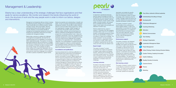| 1               | Trust, Ethics, Authentic & Ethical Leadership        |
|-----------------|------------------------------------------------------|
| $\mathbf{2}$    | Understanding & Excelling at Change                  |
| 3.              | <b>Developing Self</b>                               |
| 4               | Performance Management                               |
| 5.              | <b>Coaching &amp; Mentoring</b>                      |
| 6               | <b>Motivation</b>                                    |
|                 | <b>Effective Communication</b>                       |
| 8               | <b>Team Building</b>                                 |
| 9.              | <b>Strategy &amp; Organisation</b>                   |
| 10 <sub>l</sub> | Leadership & Management Styles                       |
| 11              | <b>Project Management</b>                            |
| 12 <sub>2</sub> | Critical Thinking, Problem Solving & Decision Making |
| 13              | Creative Thinking, Creativity & Innovation           |
| 4               | Health & Wellbeing                                   |
| 15              | Equality, Diversity & Inclusivity                    |
| 16              | <b>Customer Service</b>                              |
| 17              | Finance                                              |
| 18              | Marketing                                            |
|                 |                                                      |
|                 |                                                      |

#### **Micro-learning**

In response to operational pressures, learners require knowledge and skills to be delivered with more learning value, but with less learning time needed. Learning has to be relevant, include content of high quality, of shorter duration, with sharper focus, be flexible and have a lasting impact. It also needs to be accessed and delivered in smarter ways.

Eliesha's digital learning, pearls of wisdom®, comprises over 300 engaging animated videos, each of 3-4 minutes in duration, incorporating beneficial content that can be used flexibly in support of the delivery of skills and knowledge. The pearls of wisdom® can be accessed via the internet or organisation intranet and viewed on mobile, tablet, laptop or desktop, meaning they can be used where and when they are needed most.

#### **Expert insight**

The pearls of wisdom® content incorporates the insight and expertise of subject matter experts and leading thinkers, delivering the knowledge and information people require e.g. methods, tools, techniques and tips. The learning is easily understood and effortlessly applicable to workplace tasks and challenges.

#### **Learning outcomes**

All videos in the pearls of wisdom® series have clear context, learning outcomes and structure. The content has been aligned to national occupational standards. Each one includes instructional elements, such as reflection, application and practice suggestions. Every video is referenced to applicable learning topics and categories, has a clear product

description and details the specific learning outcome to be achieved. Each one represents a piece of critical knowledge, skill or behaviour that the modern manager needs and hence can be easily selected and purposed to the business and learner context of need.

The pearls of wisdom® content has the ability to be combined and linked together flexibly, in order to be appropriately incorporated into blended learning programmes, or in support of social learning and workplace needs. They have been effectively used in support of programmes accredited by ILM, CMI and Management Apprenticeships.

#### **Performance support**

The pearls of wisdom® are designed to align with the 70:20:10 learning paradigm and support the learner-driven 'just in time' model, where learning is available on-demand and can be accessed when the learner needs it. The modular make-up allows for easy selection, combination and structuring of learning into supportive toolkits, specially designed for particular roles and responsibilities. This approach is recognised as bringing about significant improvements in performance and productivity.

#### **Rich learning content**

The pearls of wisdom® product series is a cost-effective investment in learning content. The videos are grouped into the following categories, which are continually updated and expanded:

- 
- 
- 
- 
- 
- 

### Management & Leadership

Eliesha has a clear understanding of the strategic challenges that face organisations and their goals for service excellence. We monitor and research the trends influencing the world of work; the structure of work and the way people work in order to inform our advice, designs and interventions.



Management and leadership skills are critical in shaping and delivering business strategy and competitiveness. These include skills such as effective decision making, managing change, taking responsibility, delivering improved performance and the ability to lead and innovate. Research on the business benefits of management and leadership development shows that employee and organisation performance are clearly correlated with management abilities.

Eliesha helps customers to address the challenges of management and leadership. We help them by equipping people with the capabilities to successfully deliver organisational goals. This requires, for example, appropriate leadership skills and behaviours to engage with staff and manage performance; the understanding and motivation to innovate; the skills to embrace, drive and manage change; the knowledge and skills to review, assess and re-equip their organisation with the human capital necessary to perform, achieve required outcomes and meet future challenges; the confidence and skills to operate competitively in global markets.

Eliesha has expertise and understanding, in breadth and depth, of many successful management and leadership development solutions. We are able to deliver solutions relevant to level and deliver tiered programmes, starting from aspiring/junior manager, middle managers up to board level. We are able to select and combine relevant models, methods, tools and techniques into effective Leadership and Management Development programmes, incorporating relevant vision, values and competency frameworks. In this way, management and leadership development is better embedded and driven out of the context and the challenges that managers and leaders in the organisation face – individually and collectively. The contextualisation of programmes better enables engagement, relevance, practical application and accelerated transfer of learning to the workplace, ultimately helping towards the achievement of required learner and business outcomes.

#### **Accreditations and qualifications**

Improving development by achieving qualifications is a vitally important part of becoming a true professional. It's every bit as important for managers as it is for lawyers, accountants or doctors. Eliesha supports the drive for improved professional skills. Specifically, this is achieved through our status as an Approved Centre to deliver accredited programmes on behalf of the Chartered Management Institute (CMI) and the Institute of Leadership and Management (ILM), with whom we are able to offer accreditation up to level 7. Eliesha is also on the Register of Apprenticeship Training Providers (RoATP) for Management Apprenticeships at levels 3 and 5.

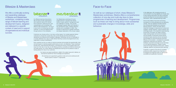### Face-to-Face

As well as our catalogue of short, sharp Bitesize & Masterclass workshops, Eliesha offers a comprehensive collection of one-day and multi-day face-to-face programmes of learning and development. Programmes such as these can help to bring about more substantial and sustainable changes in knowledge, skills and behaviour.

In this digital age, with increasing amounts of communication occurring digitally and virtually, faceto-face training interventions are still an extremely powerful development tool and preferred delivery intervention, within a blended learning model.

Face-to-face delivery has proven and strong foundations for driving development and delivering change. There are significant benefits deriving from professionally facilitated and interactive learning sessions. Trainers are better able to implement strategies to keep learners involved and engaged, maintain attention, support retention and



### Bitesize & Masterclass

Customers can choose as few, or as many, as they require. Our modular approach allows customers to choose the courses they want, at the intervals and times that best suit operational circumstances and workplace challenges. Workshops can be run individually or a number delivered over a day to create relevant learning courses and programmes for any organisation or group of participants.

We offer a continually evolving and expanding catalogue of Bitesize and Masterclass workshops, containing a wide range of relevant learning and development topics, designed and delivered to a specific context of need and in support of organisational and individual success.



Each workshop can be run onsite at customer premises and provides the essential skills, tools and techniques to maximise people's performance at work, cost effectively. These workshops provide short, sharp learning interventions, minimising the amount of time people need to be away from their day-to-day role, but still offering practical, accessible and effective behavioural and skills training. As a result, Bitesize and Masterclass learning are the preferred modes of training delivery for many of our customers.

> Our trainers are expert practitioners, skilled in the subject area and in delivery, so that learners benefit from their knowledge and experience.

All workshops are supported by guidance notes and can be reinforced with relevant pearls of wisdom®, if appropriate.

Our Bitesize learning interventions (90 minutes) provide organisations with maximum returns for minimal time investment, balancing busy and unpredictable work schedules with effective skills development. The focus is very much on introducing new skills, methods, or tools and applying them through actions in the workplace.



Our Masterclass workshops (3 hours) enable learners to develop their talents further, to grow, perform, manage and meet the challenges of change. They provide knowledge at greater depth and intensity in key development areas, enabling reflection, practice and consolidation of skills. They provide an opportunity for greater interaction and deeper exploration of the chosen subject.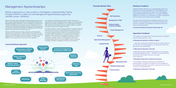### Management Apprenticeships

#### Eliesha is approved as a main provider on the Register of Apprenticeship Training Providers (RoATP) to deliver the new Management Apprenticeship programmes (UKPRN number 10026843).

Eliesha successfully delivers Management Apprenticeship programmes at Level 3 (Team Leader/Supervisor) and Level 5 (Operations/Departmental Manager) Management Standards. The new Standards are employer and industry body designed and occupation-focused. Organisations can be confident that these quality programmes incorporate the knowledge, skills and behaviours needed to best address the challenges that the business faces in the current and future work environment.

Eliesha is passionate about providing a supportive, enriching learning experience for our apprentices, whatever stage of their career they have reached. We develop people into highly competent managers and leaders, equipped with the knowledge, skills and behaviours to make a huge difference to the performance and success of their organisation.



Our management apprenticeship programmes offer customers and apprentices an end-to-end support service in relation to existing workforce development and talent management. This includes expert consultancy, skills assessment and planning, through to effective delivery, successful end point assessment and evaluation of impact.

Our delivery approach includes a blended portfolio of specifically-designed interventions that have proven highly beneficial and impactful for many of our public and private sector customers. Our programme delivery minimises operational abstraction from the business and disruption for employees, whilst comprehensively supporting the 20% 'off-the-job' requirement. This means that our programmes are efficient, practicefocused and workplace relevant, so that apprentices will have an immediate impact upon return to the workplace in terms of improved knowledge, confidence, capability, performance and productivity.



**Learning Delivery Approach**

#### **Employer Feedback**

"Selecting Eliesha Training as our apprenticeship partner has allowed us to take full advantage of our Apprenticeship Levy, and in doing so supported the creation of our Wienerberger Leadership Development Programme. The support offered by Eliesha from the start of our discussions, through to programme launch has been both professional and detailed.

This has continued through into programme delivery and our learners are now experiencing, from the team of expert tutor/ coaches, a breadth of knowledge and experience they have never encountered before"

#### **Learning & Development Manager, Wienerberger UK**

#### **Example Module Titles**

#### **Apprentice Feedback**

"The quality of the support that I have received from the Eliesha team has been second to none."

#### **L5 Management Apprentice, Utilities Company**

"…because of improved confidence levels I am quite assertive in my role and I am looking forward to an opportunity where I am given even more responsibility."

#### **L3 Management Apprentice, University**

"I really enjoy the face-to-face taught elements of the program and the camaraderie we have … it feels such a secure learning environment which allows everyone to be open and to speak up."

#### **L5 Management Apprentice, Engineering Company**

"This has been a fantastic opportunity to undertake this apprenticeship. It has given an insight into how management and operational decisions are made but also factors to be aware of when I am supervising staff."

#### **L3 Management Apprentice, University**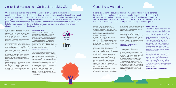### Coaching & Mentoring

Eliesha is passionate about coaching and mentoring which, in our experience, is one of the best methods of developing practical leadership skills. Leaders at all levels have a continuing need to learn and grow. Coaching can positively support and develop self-awareness and reflection in leaders, proving honest professional feedback and challenge, essential for personal and organisational growth.

Coaching is no longer restricted to conversations at senior levels. It's not just targeted at rising stars. Today, coaching is woven into the culture of the organisation and impacts people at every level. The research is clear: coaching improves performance, collaboration and output.

Coaching is recognised as one of the most effective learning and talent development practices. It is also becoming the management style of choice in many organisations that have to respond flexibly to change and need to use the full potential of their people.

Within the workplace, coaching and mentoring can be designed at all levels to improve individual and team performance organically, with the focus on guidance and goal-setting. For example, coaching helps build the commitment (and not just compliance) to deliver process and plans. More and more organisations are seeking to develop a 'coaching culture', where managers implement coaching skills and methodologies into their day-to-day leadership role, promoting open and honest communication, continuous improvement, clear individual and organisational vision and a rigorous cycle of feedback.

Eliesha's coaching and mentoring support includes one-to-one coaching (at all levels up to and including executive level), coaching and mentoring workshops for teams and accredited programmes delivering widely respected and universally recognised professional coaching and mentoring qualifications.

Eliesha's diverse and experienced network of professional coaches work with our customers using a range of appropriate models, psychometric instruments and tools. They have the ability to translate behavioural feedback into action plans, in order to create an effective development roadmap for individuals and teams.

#### **Accreditation and qualification – accredited coaches**

In support of a coaching culture, there is a strategic move in organisations to use accredited coaches who conform to recognised professional coaching standards. Eliesha is able to design and deliver coaching development solutions and qualifications with both ILM and CMI. These accreditations are industry recognised external quality marks. Professional coaching skills are compatible with transformational leadership skills. For example, ILM accreditation gives customers the confidence that coaching/transformational leadership skills hit a high external benchmark for quality and evidence skills in support of performance management, as well as this functional specialism.

#### **Customer outcome:**

In order to accelerate the transfer of learning from the classroom to the workplace and improve the achievement of personal and business outcomes, the development needs to be focused on the context of the organisations and systems in which people work. Eliesha is able to make the programme highly relevant and impactful by tailoring the accredited programmes to the business vision, values, competencies and context. This creates a strong foundation of professionally qualified managers and leaders.

"Eliesha has provided the University with ILM 5 level in coaching and mentoring programmes since July 2014. During 2016, Eliesha delivered an ILM level 7 in executive coaching programme with 100% success. Both programmes have been so well received that we are running further programmes for both levels during 2017. Eliesha also supply us with online "Pearls of Wisdom®" which are concise, engaging, animated video clips to help staff improve their skills and knowledge in a wide variety of subjects. Eliesha is an extremely professional company and their work has been of a very high standard, the quality of the delivery from the trainer is excellent and feedback from our delegates supports this.

The number of people completing the training and gaining a qualification is very high due to the robustness of the programme and the support that is given to everyone by the trainer. Eliesha has played an invaluable part in making our University coaching academy the success it is today. We have a really good and productive relationship with Eliesha which I hope will continue for many years and I would highly recommend them."

#### **Head of HR, People & Organisational Development**

### Accredited Management Qualifications: ILM & CMI

Organisations are all too aware of the challenge of creating and maintaining service excellence and driving continual service improvement in these uncertain times. People need to be able to effectively deliver the business as usual day job, whilst having to cope with managing continuing uncertainty and change. In this context, there is a need to develop the professional skills of managers and leaders. These internationally-recognised qualifications help to equip people with the knowledge, skills and behaviours to effectively manage change and position it as "business as usual".

Good managers and leaders are critical to the effective operation and performance of any business. They must possess the skills to make informed, intelligent decisions and the ability to lead those working for them by example, communicating with and inspiring them towards engaging in the corporate vision and achieving the organisation's business goals.

Hence, there is a global focus and drive for improving the professional skills of managers and leaders. Organisations are increasingly looking for development programmes that incorporate relevant accredited leadership and management qualifications, in order to build management and leadership capability and capacity.

In response to this, Eliesha has well established learning partnerships with leading awarding bodies, which enable us to design and deliver the accredited solution that best fits customer needs.

Eliesha is an Approved Centre with the Chartered Management Institute and The Institute of Leadership and Management, able to deliver accredited Management & Leadership and Coaching & Mentoring programmes resulting in qualifications from Level 2 up to Level 7.

#### **Relevance and impact**

#### **Innovation and improvement**

The work required for professional management and leadership qualifications involves a great deal of reflection and exploration about the learners' existing organisation and personal or business challenges. Whether it's breaking down and rationalising internal processes and systems, or generating ideas about improved management methods of current or future projects, managers will spend time considering what characteristics make organisations succeed and where it - and they - can improve. Where there is a cohort of learners, ideas and innovation will abound and develop. Learners will emerge from their programme with improved and new skills, filled with enthusiasm for new ways of thinking and acting, exciting new ideas - and plans for their implementation!



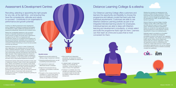

Recruiting, selecting or appointing the right people for any role, at the right time - and ensuring they have the competences, attitudes and values to succeed - contributes to an organisation's performance and growth potential.

Investing in an effective assessment and/or development service, designed by Chartered Occupational Psychologists, and delivered by a highly qualified and experienced team of assessment professionals, reduces the risk of decision errors.

Eliesha has considerable experience in the successful provision of specialist Assessment and Development Centre services to public and private sector organisations throughout the UK. Within our Assessment and Development Centres our occupational psychologists and learning and development specialists use a combination of market leading exercises, psychometric instruments and competence-based interviewing to ensure the best possible outcomes are achieved.

Assessment Centres can come in a variety of shapes and sizes, depending on the candidate group and the selection criteria. Graduate assessment centres, for example, need to be an environment in which candidates can show potential as well as demonstrate what they have learned in their further and higher education. When designing Assessment Centres for managers, however, it is reasonable to expect candidates to have more experience, so their assessments can be tougher and draw more on their practical experiences and lessons.

Development Centres adopt similar processes to those used in Assessment Centres in order to inform upon development plans. Eliesha uses facilitators and coaches to help people realistically discover their potential and identify the steps they need to take to achieve their career, personal development and/or corporate required goals. Eliesha offers a full Development Centre service, which can be further enhanced through the delivery of associated skills development programmes to provide a complete development pathway for the people involved.



### Assessment & Development Centres

#### **Benefits include:**

- Bespoke and accurate solutions by offering a range of assessment methods
- Assessing existing performance, as well as predicting future performance
- An opportunity to assess and differentiate between candidates
- Insight into the proposed role (e.g. candidates can be tested on exercises typical for role)
- Perception of the company brand by the candidates (i.e. a good centre reflects well on the organisation regardless of whether the candidate is successful)
- More impartial and independent procedures, via Assessment Centres, ensuring that candidates are selected on their merit
- A detailed insight, via Assessment Centres, into, for example, the candidates' motives and alignment of values to those of the organisation
- Feedback to candidates about their strengths and weaknesses, providing an important insight into their skills and abilities to support their future development

### Distance Learning College & e.eliesha

Our Distance Learning College offers customers and learners the opportunity and flexibility to choose the programme and delivery model that best suits their individual requirements. Customers are able to use Eliesha's Distance Learning portfolio as part of an integrated blended learning solution for employees. Individual learners are able to liaise with Eliesha's learning and development consultants, or simply select and build the programme that's right for them. Learners can then learn at a time and a pace that is most convenient for them.

Whether the motivation for development is the prospect of higher earnings, potential for career enhancement and a potential promotion, or just the desire for a formal management qualification and the associated set of skills, we take pride in helping learners to get there.

Eliesha's Distance Learning College, including e.eliesha courses, offers a wide range of ILM and CMI units from Level 2 to Level 7 towards Award, Certificate and Diploma qualifications. Eliesha can provide the most appropriate remote learning programme to meet employers' learning requirements or those of an individual learner.

Dedicated support is provided by our Accredited Centre team, who oversee and manage the accreditation process for every learner, from registration through to certification. They will liaise with the awarding bodies, learners, trainers and any departments required within the customer organisation. Learners are supported by access to comprehensive and content-rich content online resources. Further support is provided by dedicated tutors, who can be contacted by email and online to ensure our learners successfully complete their qualification.

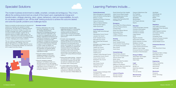### Learning Partners include…

#### **Central Government**

Marine Management Organisation Driver and Vehicle Licensing Agency Ministry of Justice Department for Work & Pensions House of Commons Office for National Statistics Rural Payments Agency Welsh Government

#### **Local Government**

Merthyr Tydfil County Borough Council Warwickshire County Council Leicester City Council South Tyneside Council Newcastle City Council Bath & North East Somerset Council Kensington and Chelsea London Borough Council Carlisle City Council Newport City Council Kirklees Council Cardiff Council Lambeth London Borough Council Leicestershire County Council Conwy County Council Nottingham City Council Fife Council

Mears Group South Tyneside Homes County Durham Housing Group Link Housing Association Story Homes Home Group

Natural History Museum Age Concern (Tyneside South) Tenovus Cancer Care British Library Newcastle United Foundation Canal & River Trust Melbourne City Mission The National Lottery Community Fund National Library of Wales **CISV** 

Kent County Council Gateshead Council Haringey Council

**Health**

County Durham & Darlington NHS

Foundation Trust NHS Blood & Transplant NHS Business Services Authority

Royal Victoria Eye & Ear Hospital Great Ormond Street Hospital NHS Yorkshire & the Humber Leadership Academy Leeds & York Partnership NHS Foundation Trust

#### **Emergency**

Burnetts Muckle LLP David Gray Solicitors BHP Law The Law Society

Tyne & Wear Fire & Rescue Service Kent Fire & Rescue Service Cumbria Police Essex Fire & Rescue Service Northumbria Police College of Policing London Ambulance Service

AkzoNobel Wienerberger UK Reece Group Bristan Tekmar Energy **Egger** 

#### **Housing**

Capita Frank Recruitment Group

#### **Charity/Heritage**

#### **Leisure & Property**

Mitchells & Butlers Parkdean Resorts

Caravan & Motorhome Club Intu Properties Great Run Group **SportWales SportScotland** LSL Property Services Naylors

#### **Education** London South Bank University University of Birmingham University of Cumbria University of Leicester Coleg Cambria **NCFE** Regent's University Northumbria University SOAS University of London Middlesex University City, University of London

London School of Economics Waltham Forest College Emmanuel Schools Foundation University of Wolverhampton

#### **Energy & Utilities**

Veolia Water Technologies Northumbrian Water Welsh Water

#### **Legal**

#### **Manufacturing**

Parker Hannifin

#### **Regulatory**

Care Quality Commission Independent Press Standards **Organisation** Health Research Authority Civil Aviation Authority Coal Authority Companies House Centre for Process Innovation Forestry Commission General Medial Council

#### **Professional Services**

#### **Finance**

Development Bank of Wales NHS Wales Finance Wales Audit Office Atom Bank

#### **Engineering**

Pearson Engineering VolkerWessels Wood Group Vale Europe

#### **Electronics**

Panasonic Romax Technology Raytec

### Specialist Solutions

The modern business environment is volatile, uncertain, complex and ambiguous. This, in turn, affects the working environment as a result of the impact upon organisational change and transformation, strategic planning, vision, values, behaviours, roles and responsibilities. As such, it's not always possible to use 'off-the-shelf' training products to achieve the outcome desired and solve the specific problems and challenges faced.

Eliesha successfully provides learning and development solutions to customers who operate in complex environments, with high levels of challenge, pressure, ambiguity and continuous change. As a result, we are able to leverage many years of experience and successful solution strategies, together with an extensive resource of subject matter experts. This informs a collaborative and professional dialogue with customers, aimed at the provision of bespoke solutions to unique, challenging and complex problems.

This can create an engaging learning environment, with the expectation for challenge, query and debate. We regard this as a healthy approach and an opportunity to professionally facilitate, be constructive and to support and drive change.



#### **Examples include:**

- Working collaboratively with a major government organisation, in our role as a Strategic Learning Partner. Reporting to the Management Board of a major government organisation, and as a part of an integrated team with HR Strategy, Organisational Development and Learning and Development, we designed and delivered comprehensive talent management, management and leadership and workforce development programmes in support of 2,000 employees. Complex in content, design and delivery, the solutions were crucial to the success of the organisation and delivered against a background of significant policy and organisational change.
- Specialist resilience and personal confidence training for NHS teams working daily in highly sensitive and extremely delicate scenarios.
- Bespoke emergency response training for the Resilience Team of a devolved government to help strategic managers across a range of public sector organisations ensure an effective, coordinated response to regional/ national emergency situations.
- Collaboratively-designed safety leadership training for a world-leading drilling and engineering contractor, working onshore and offshore, to support them in ensuring that people focus on safety, quality and operational performance.
- Complex crisis management training, helping customer service staff experiencing intense and sensitive client interactions to be self-aware and to assess and manage their own states of emotion. Designed by an experienced Chartered Clinical Psychologist and structured in face-to-face workshops including scenario-based learning environments, the key objective was to improve staff coping skills/psychological resilience.
- Tailored lone worker training designed and delivered for a UK water company ensuring their engineers and site staff are safe and compliant with company procedures when working alone.
- A custom toolkit of micro-learning designed at the request of regulatory body IPSO and in collaboration with a legal professional to efficiently and effectively teach the essentials of British Media Law.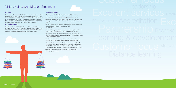### Vision, Values and Mission Statement

#### **Our Values and Beliefs**

- Our principal motivation is to consistently 'delight the customer'
- We value and respect our customers, suppliers and each other
- We always seek trusting, co-operative, open, thoughtful, understanding and appreciative relationships with our customers, suppliers and each other
- We value diversity and the benefits that our individual skills, personality and cultural differences bring to each other and the business
- We act with integrity and support our customers, suppliers and each other through our reliable and adaptable approach to our work
- We aim to continually develop products that are at the leading edge of learning technologies, thus improving the quality and effectiveness of the Eliesha learning experience
- We aim to deliver our products and services in as sustainable a way as possible, aware of our responsibilities towards the environment
- We commit to the communities in which we live and work through operating an ethical business adhering to, respecting and promoting the British Values of democracy, the rule of law, mutual respect, individual liberty and tolerance of those with different faiths and beliefs
- We believe that working for Eliesha should be fun, stimulating, challenging and rewarding

Through purposeful partnerships with our customers, we will be an<br>innovative, dynamic and thriving business, developing and delivering high<br>quality, cost effective learning and development interventions that enable<br>our cus

#### **Our Vision**

To ensure that all members of the Eliesha team achieve personal growth and progression in a rewarding, healthy and challenging working environment. To create a culture in which all staff enjoy working for Eliesha and are proud of the company and its work. To encourage everyone to be the very best that they can be in everything they do. Eliesha will always act with integrity, encouraging open debate and the sharing of ideas and values.

#### **Our Mission Statement**

Through purposeful partnerships with our customers, we will be an innovative, dynamic and thriving business, developing and delivering high quality, cost effective learning and development interventions that enable